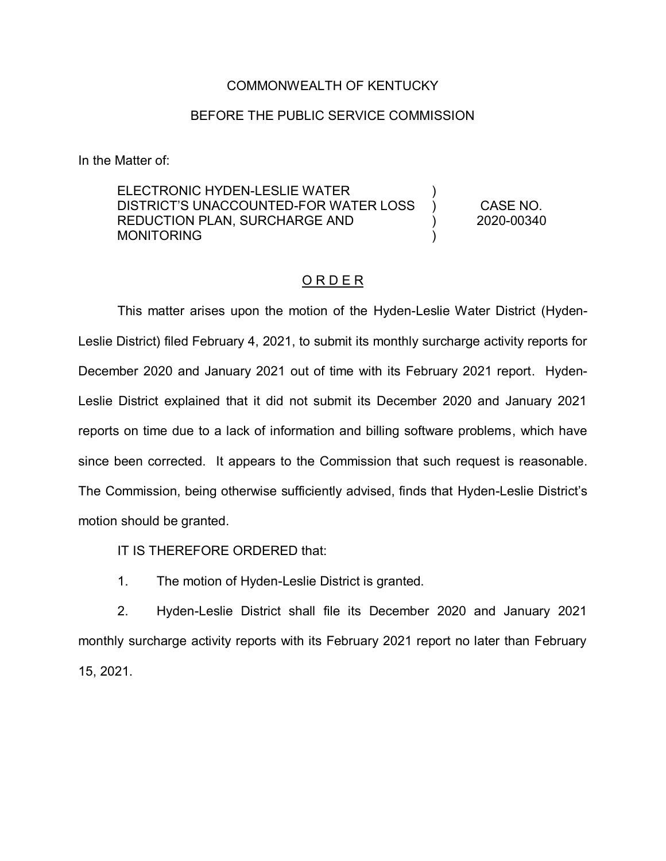## COMMONWEALTH OF KENTUCKY

## BEFORE THE PUBLIC SERVICE COMMISSION

In the Matter of:

ELECTRONIC HYDEN-LESLIE WATER DISTRICT'S UNACCOUNTED-FOR WATER LOSS REDUCTION PLAN, SURCHARGE AND MONITORING ) ) ) ) CASE NO. 2020-00340

## O R D E R

This matter arises upon the motion of the Hyden-Leslie Water District (Hyden-Leslie District) filed February 4, 2021, to submit its monthly surcharge activity reports for December 2020 and January 2021 out of time with its February 2021 report. Hyden-Leslie District explained that it did not submit its December 2020 and January 2021 reports on time due to a lack of information and billing software problems, which have since been corrected. It appears to the Commission that such request is reasonable. The Commission, being otherwise sufficiently advised, finds that Hyden-Leslie District's motion should be granted.

IT IS THEREFORE ORDERED that:

1. The motion of Hyden-Leslie District is granted.

2. Hyden-Leslie District shall file its December 2020 and January 2021 monthly surcharge activity reports with its February 2021 report no later than February 15, 2021.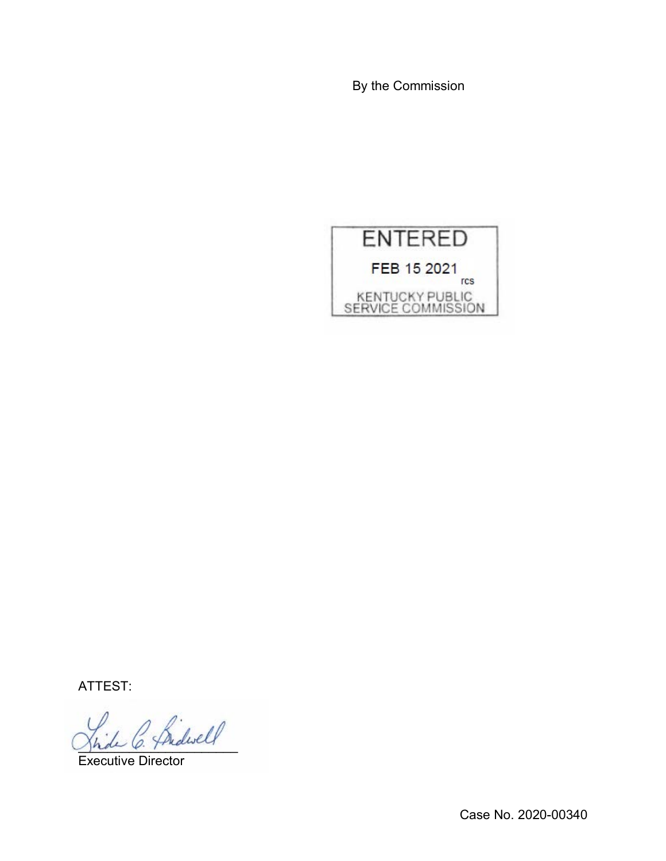By the Commission



ATTEST:

\_\_\_\_\_\_\_\_\_\_\_\_\_\_\_\_\_\_\_\_\_\_

Executive Director

Case No. 2020-00340